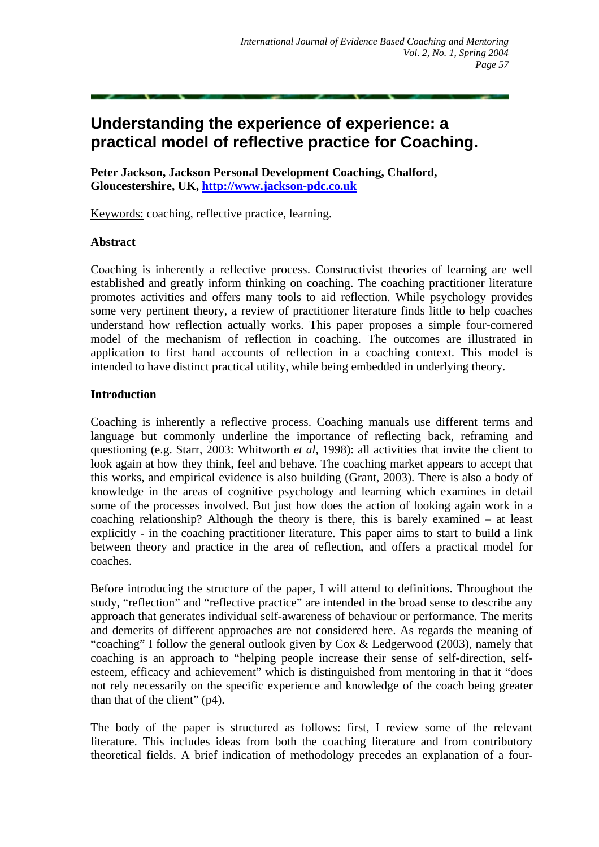# **Understanding the experience of experience: a practical model of reflective practice for Coaching.**

**Peter Jackson, Jackson Personal Development Coaching, Chalford, Gloucestershire, UK, [http://www.jackson-pdc.co.uk](http://www.jackson-pdc.co.uk/)**

Keywords: coaching, reflective practice, learning.

#### **Abstract**

Coaching is inherently a reflective process. Constructivist theories of learning are well established and greatly inform thinking on coaching. The coaching practitioner literature promotes activities and offers many tools to aid reflection. While psychology provides some very pertinent theory, a review of practitioner literature finds little to help coaches understand how reflection actually works. This paper proposes a simple four-cornered model of the mechanism of reflection in coaching. The outcomes are illustrated in application to first hand accounts of reflection in a coaching context. This model is intended to have distinct practical utility, while being embedded in underlying theory.

#### **Introduction**

Coaching is inherently a reflective process. Coaching manuals use different terms and language but commonly underline the importance of reflecting back, reframing and questioning (e.g. Starr, 2003: Whitworth *et al*, 1998): all activities that invite the client to look again at how they think, feel and behave. The coaching market appears to accept that this works, and empirical evidence is also building (Grant, 2003). There is also a body of knowledge in the areas of cognitive psychology and learning which examines in detail some of the processes involved. But just how does the action of looking again work in a coaching relationship? Although the theory is there, this is barely examined – at least explicitly - in the coaching practitioner literature. This paper aims to start to build a link between theory and practice in the area of reflection, and offers a practical model for coaches.

Before introducing the structure of the paper, I will attend to definitions. Throughout the study, "reflection" and "reflective practice" are intended in the broad sense to describe any approach that generates individual self-awareness of behaviour or performance. The merits and demerits of different approaches are not considered here. As regards the meaning of "coaching" I follow the general outlook given by Cox & Ledgerwood (2003), namely that coaching is an approach to "helping people increase their sense of self-direction, selfesteem, efficacy and achievement" which is distinguished from mentoring in that it "does not rely necessarily on the specific experience and knowledge of the coach being greater than that of the client" (p4).

The body of the paper is structured as follows: first, I review some of the relevant literature. This includes ideas from both the coaching literature and from contributory theoretical fields. A brief indication of methodology precedes an explanation of a four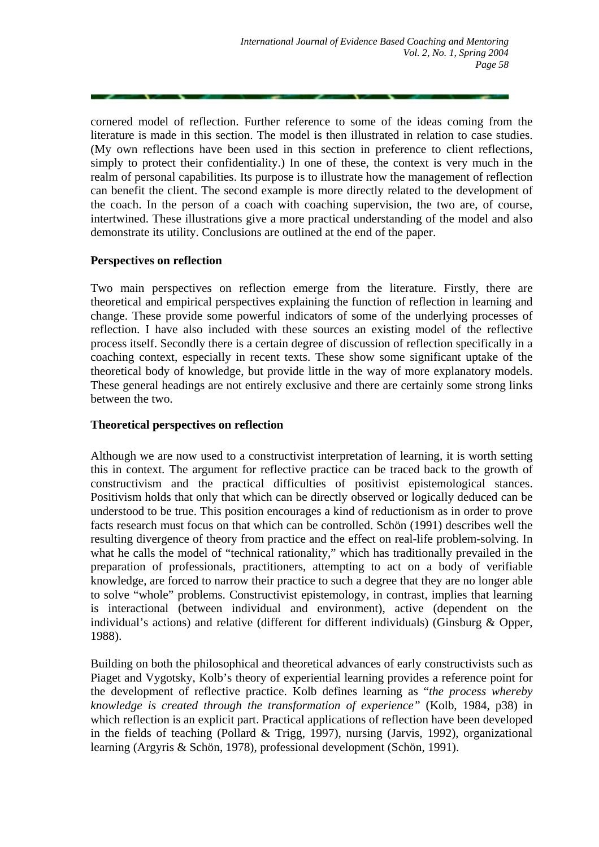cornered model of reflection. Further reference to some of the ideas coming from the literature is made in this section. The model is then illustrated in relation to case studies. (My own reflections have been used in this section in preference to client reflections, simply to protect their confidentiality.) In one of these, the context is very much in the realm of personal capabilities. Its purpose is to illustrate how the management of reflection can benefit the client. The second example is more directly related to the development of the coach. In the person of a coach with coaching supervision, the two are, of course, intertwined. These illustrations give a more practical understanding of the model and also demonstrate its utility. Conclusions are outlined at the end of the paper.

# **Perspectives on reflection**

Two main perspectives on reflection emerge from the literature. Firstly, there are theoretical and empirical perspectives explaining the function of reflection in learning and change. These provide some powerful indicators of some of the underlying processes of reflection. I have also included with these sources an existing model of the reflective process itself. Secondly there is a certain degree of discussion of reflection specifically in a coaching context, especially in recent texts. These show some significant uptake of the theoretical body of knowledge, but provide little in the way of more explanatory models. These general headings are not entirely exclusive and there are certainly some strong links between the two.

#### **Theoretical perspectives on reflection**

Although we are now used to a constructivist interpretation of learning, it is worth setting this in context. The argument for reflective practice can be traced back to the growth of constructivism and the practical difficulties of positivist epistemological stances. Positivism holds that only that which can be directly observed or logically deduced can be understood to be true. This position encourages a kind of reductionism as in order to prove facts research must focus on that which can be controlled. Schön (1991) describes well the resulting divergence of theory from practice and the effect on real-life problem-solving. In what he calls the model of "technical rationality," which has traditionally prevailed in the preparation of professionals, practitioners, attempting to act on a body of verifiable knowledge, are forced to narrow their practice to such a degree that they are no longer able to solve "whole" problems. Constructivist epistemology, in contrast, implies that learning is interactional (between individual and environment), active (dependent on the individual's actions) and relative (different for different individuals) (Ginsburg & Opper, 1988).

Building on both the philosophical and theoretical advances of early constructivists such as Piaget and Vygotsky, Kolb's theory of experiential learning provides a reference point for the development of reflective practice. Kolb defines learning as "*the process whereby knowledge is created through the transformation of experience"* (Kolb, 1984, p38) in which reflection is an explicit part. Practical applications of reflection have been developed in the fields of teaching (Pollard & Trigg, 1997), nursing (Jarvis, 1992), organizational learning (Argyris & Schön, 1978), professional development (Schön, 1991).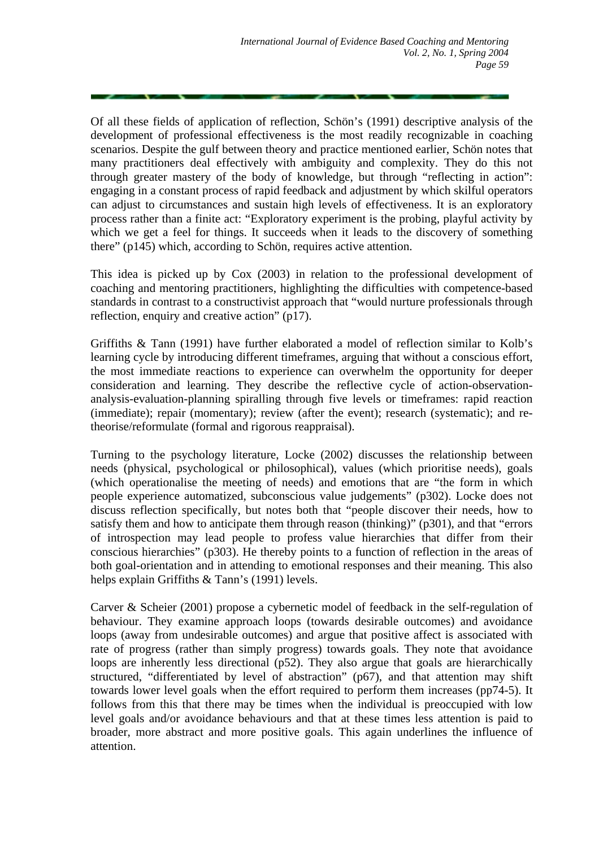Of all these fields of application of reflection, Schön's (1991) descriptive analysis of the development of professional effectiveness is the most readily recognizable in coaching scenarios. Despite the gulf between theory and practice mentioned earlier, Schön notes that many practitioners deal effectively with ambiguity and complexity. They do this not through greater mastery of the body of knowledge, but through "reflecting in action": engaging in a constant process of rapid feedback and adjustment by which skilful operators can adjust to circumstances and sustain high levels of effectiveness. It is an exploratory process rather than a finite act: "Exploratory experiment is the probing, playful activity by which we get a feel for things. It succeeds when it leads to the discovery of something there" (p145) which, according to Schön, requires active attention.

This idea is picked up by Cox (2003) in relation to the professional development of coaching and mentoring practitioners, highlighting the difficulties with competence-based standards in contrast to a constructivist approach that "would nurture professionals through reflection, enquiry and creative action" (p17).

Griffiths & Tann (1991) have further elaborated a model of reflection similar to Kolb's learning cycle by introducing different timeframes, arguing that without a conscious effort, the most immediate reactions to experience can overwhelm the opportunity for deeper consideration and learning. They describe the reflective cycle of action-observationanalysis-evaluation-planning spiralling through five levels or timeframes: rapid reaction (immediate); repair (momentary); review (after the event); research (systematic); and retheorise/reformulate (formal and rigorous reappraisal).

Turning to the psychology literature, Locke (2002) discusses the relationship between needs (physical, psychological or philosophical), values (which prioritise needs), goals (which operationalise the meeting of needs) and emotions that are "the form in which people experience automatized, subconscious value judgements" (p302). Locke does not discuss reflection specifically, but notes both that "people discover their needs, how to satisfy them and how to anticipate them through reason (thinking)" (p301), and that "errors of introspection may lead people to profess value hierarchies that differ from their conscious hierarchies" (p303). He thereby points to a function of reflection in the areas of both goal-orientation and in attending to emotional responses and their meaning. This also helps explain Griffiths & Tann's (1991) levels.

Carver & Scheier (2001) propose a cybernetic model of feedback in the self-regulation of behaviour. They examine approach loops (towards desirable outcomes) and avoidance loops (away from undesirable outcomes) and argue that positive affect is associated with rate of progress (rather than simply progress) towards goals. They note that avoidance loops are inherently less directional (p52). They also argue that goals are hierarchically structured, "differentiated by level of abstraction" (p67), and that attention may shift towards lower level goals when the effort required to perform them increases (pp74-5). It follows from this that there may be times when the individual is preoccupied with low level goals and/or avoidance behaviours and that at these times less attention is paid to broader, more abstract and more positive goals. This again underlines the influence of attention.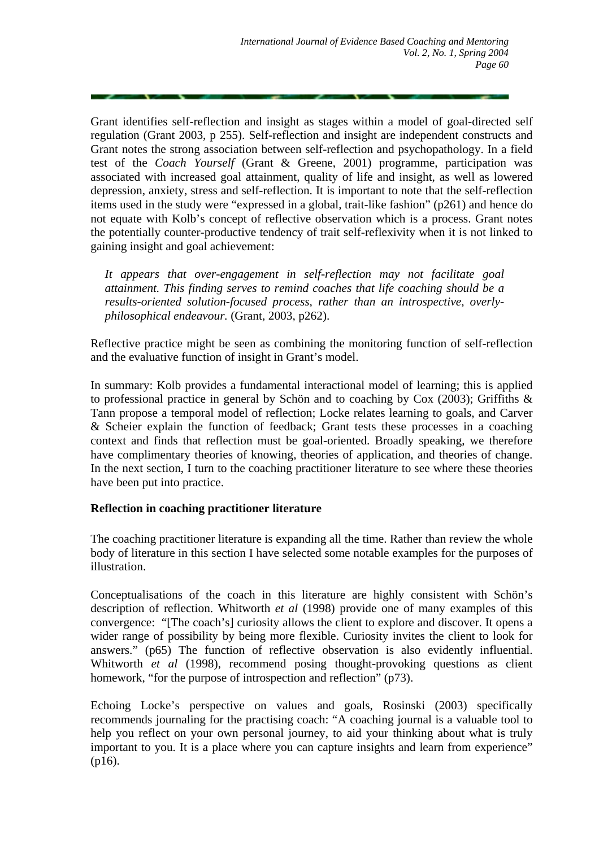Grant identifies self-reflection and insight as stages within a model of goal-directed self regulation (Grant 2003, p 255). Self-reflection and insight are independent constructs and Grant notes the strong association between self-reflection and psychopathology. In a field test of the *Coach Yourself* (Grant & Greene, 2001) programme, participation was associated with increased goal attainment, quality of life and insight, as well as lowered depression, anxiety, stress and self-reflection. It is important to note that the self-reflection items used in the study were "expressed in a global, trait-like fashion" (p261) and hence do not equate with Kolb's concept of reflective observation which is a process. Grant notes the potentially counter-productive tendency of trait self-reflexivity when it is not linked to gaining insight and goal achievement:

*It appears that over-engagement in self-reflection may not facilitate goal attainment. This finding serves to remind coaches that life coaching should be a results-oriented solution-focused process, rather than an introspective, overlyphilosophical endeavour.* (Grant, 2003, p262).

Reflective practice might be seen as combining the monitoring function of self-reflection and the evaluative function of insight in Grant's model.

In summary: Kolb provides a fundamental interactional model of learning; this is applied to professional practice in general by Schön and to coaching by Cox (2003); Griffiths & Tann propose a temporal model of reflection; Locke relates learning to goals, and Carver & Scheier explain the function of feedback; Grant tests these processes in a coaching context and finds that reflection must be goal-oriented. Broadly speaking, we therefore have complimentary theories of knowing, theories of application, and theories of change. In the next section, I turn to the coaching practitioner literature to see where these theories have been put into practice.

# **Reflection in coaching practitioner literature**

The coaching practitioner literature is expanding all the time. Rather than review the whole body of literature in this section I have selected some notable examples for the purposes of illustration.

Conceptualisations of the coach in this literature are highly consistent with Schön's description of reflection. Whitworth *et al* (1998) provide one of many examples of this convergence: "[The coach's] curiosity allows the client to explore and discover. It opens a wider range of possibility by being more flexible. Curiosity invites the client to look for answers." (p65) The function of reflective observation is also evidently influential. Whitworth *et al* (1998), recommend posing thought-provoking questions as client homework, "for the purpose of introspection and reflection" (p73).

Echoing Locke's perspective on values and goals, Rosinski (2003) specifically recommends journaling for the practising coach: "A coaching journal is a valuable tool to help you reflect on your own personal journey, to aid your thinking about what is truly important to you. It is a place where you can capture insights and learn from experience" (p16).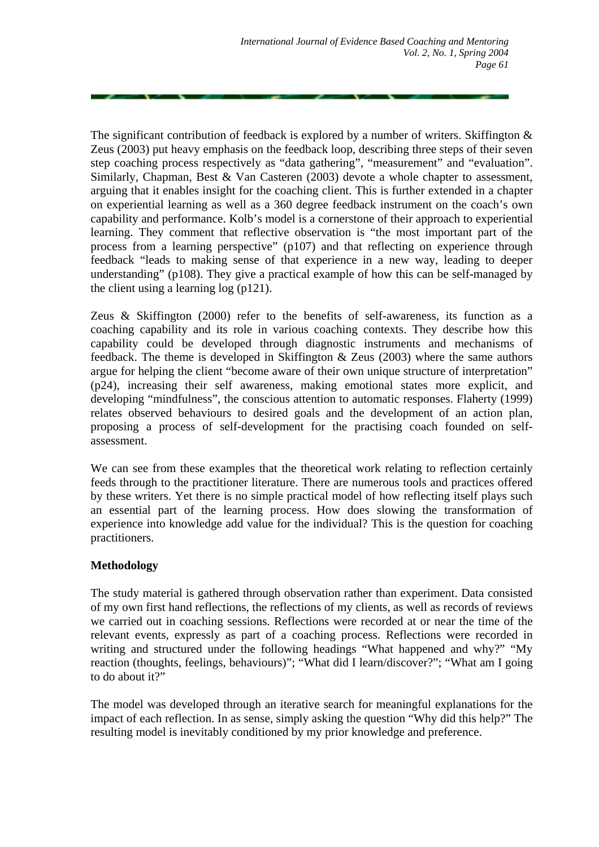The significant contribution of feedback is explored by a number of writers. Skiffington  $\&$ Zeus (2003) put heavy emphasis on the feedback loop, describing three steps of their seven step coaching process respectively as "data gathering", "measurement" and "evaluation". Similarly, Chapman, Best & Van Casteren (2003) devote a whole chapter to assessment, arguing that it enables insight for the coaching client. This is further extended in a chapter on experiential learning as well as a 360 degree feedback instrument on the coach's own capability and performance. Kolb's model is a cornerstone of their approach to experiential learning. They comment that reflective observation is "the most important part of the process from a learning perspective" (p107) and that reflecting on experience through feedback "leads to making sense of that experience in a new way, leading to deeper understanding" (p108). They give a practical example of how this can be self-managed by the client using a learning log (p121).

Zeus & Skiffington (2000) refer to the benefits of self-awareness, its function as a coaching capability and its role in various coaching contexts. They describe how this capability could be developed through diagnostic instruments and mechanisms of feedback. The theme is developed in Skiffington & Zeus (2003) where the same authors argue for helping the client "become aware of their own unique structure of interpretation" (p24), increasing their self awareness, making emotional states more explicit, and developing "mindfulness", the conscious attention to automatic responses. Flaherty (1999) relates observed behaviours to desired goals and the development of an action plan, proposing a process of self-development for the practising coach founded on selfassessment.

We can see from these examples that the theoretical work relating to reflection certainly feeds through to the practitioner literature. There are numerous tools and practices offered by these writers. Yet there is no simple practical model of how reflecting itself plays such an essential part of the learning process. How does slowing the transformation of experience into knowledge add value for the individual? This is the question for coaching practitioners.

# **Methodology**

The study material is gathered through observation rather than experiment. Data consisted of my own first hand reflections, the reflections of my clients, as well as records of reviews we carried out in coaching sessions. Reflections were recorded at or near the time of the relevant events, expressly as part of a coaching process. Reflections were recorded in writing and structured under the following headings "What happened and why?" "My reaction (thoughts, feelings, behaviours)"; "What did I learn/discover?"; "What am I going to do about it?"

The model was developed through an iterative search for meaningful explanations for the impact of each reflection. In as sense, simply asking the question "Why did this help?" The resulting model is inevitably conditioned by my prior knowledge and preference.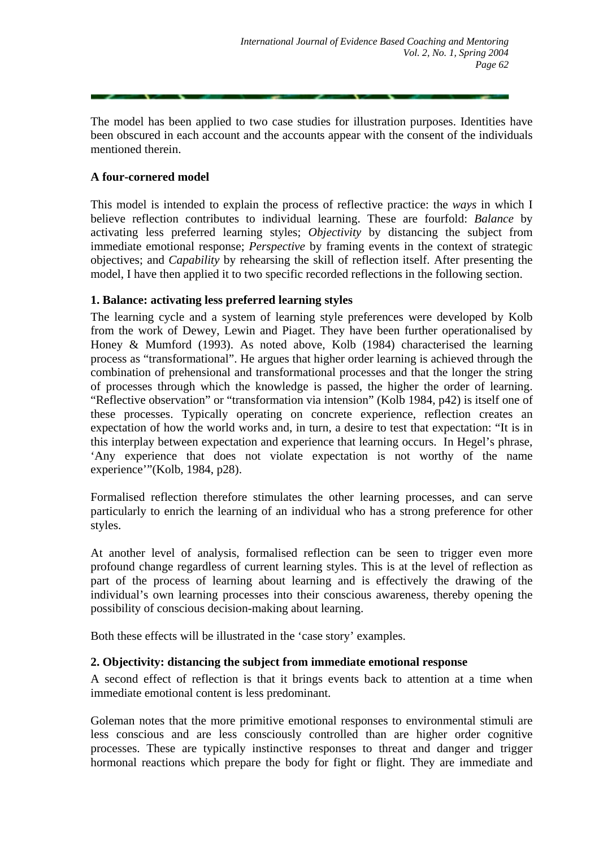The model has been applied to two case studies for illustration purposes. Identities have been obscured in each account and the accounts appear with the consent of the individuals mentioned therein.

#### **A four-cornered model**

This model is intended to explain the process of reflective practice: the *ways* in which I believe reflection contributes to individual learning. These are fourfold: *Balance* by activating less preferred learning styles; *Objectivity* by distancing the subject from immediate emotional response; *Perspective* by framing events in the context of strategic objectives; and *Capability* by rehearsing the skill of reflection itself. After presenting the model, I have then applied it to two specific recorded reflections in the following section.

# **1. Balance: activating less preferred learning styles**

The learning cycle and a system of learning style preferences were developed by Kolb from the work of Dewey, Lewin and Piaget. They have been further operationalised by Honey & Mumford (1993). As noted above, Kolb (1984) characterised the learning process as "transformational". He argues that higher order learning is achieved through the combination of prehensional and transformational processes and that the longer the string of processes through which the knowledge is passed, the higher the order of learning. "Reflective observation" or "transformation via intension" (Kolb 1984, p42) is itself one of these processes. Typically operating on concrete experience, reflection creates an expectation of how the world works and, in turn, a desire to test that expectation: "It is in this interplay between expectation and experience that learning occurs. In Hegel's phrase, 'Any experience that does not violate expectation is not worthy of the name experience'"(Kolb, 1984, p28).

Formalised reflection therefore stimulates the other learning processes, and can serve particularly to enrich the learning of an individual who has a strong preference for other styles.

At another level of analysis, formalised reflection can be seen to trigger even more profound change regardless of current learning styles. This is at the level of reflection as part of the process of learning about learning and is effectively the drawing of the individual's own learning processes into their conscious awareness, thereby opening the possibility of conscious decision-making about learning.

Both these effects will be illustrated in the 'case story' examples.

#### **2. Objectivity: distancing the subject from immediate emotional response**

A second effect of reflection is that it brings events back to attention at a time when immediate emotional content is less predominant.

Goleman notes that the more primitive emotional responses to environmental stimuli are less conscious and are less consciously controlled than are higher order cognitive processes. These are typically instinctive responses to threat and danger and trigger hormonal reactions which prepare the body for fight or flight. They are immediate and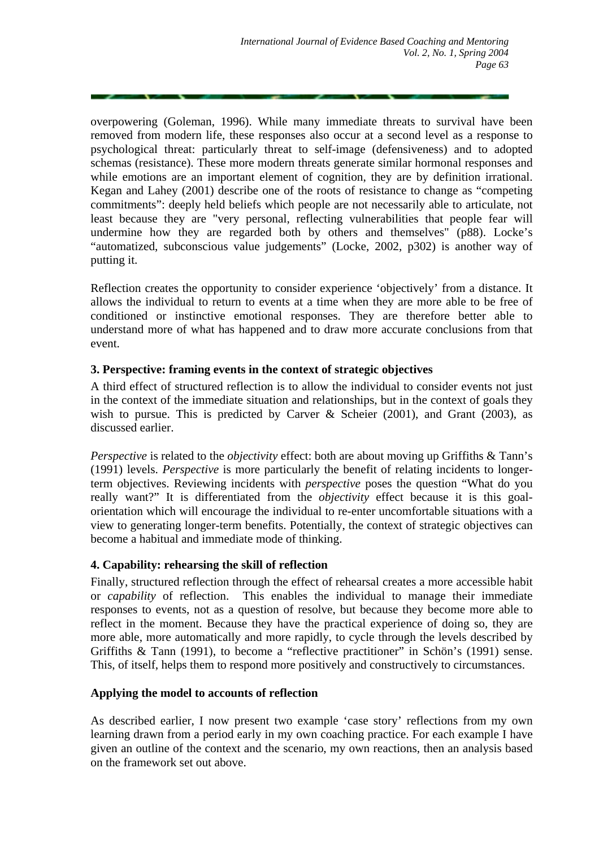overpowering (Goleman, 1996). While many immediate threats to survival have been removed from modern life, these responses also occur at a second level as a response to psychological threat: particularly threat to self-image (defensiveness) and to adopted schemas (resistance). These more modern threats generate similar hormonal responses and while emotions are an important element of cognition, they are by definition irrational. Kegan and Lahey (2001) describe one of the roots of resistance to change as "competing commitments": deeply held beliefs which people are not necessarily able to articulate, not least because they are "very personal, reflecting vulnerabilities that people fear will undermine how they are regarded both by others and themselves" (p88). Locke's "automatized, subconscious value judgements" (Locke, 2002, p302) is another way of putting it.

Reflection creates the opportunity to consider experience 'objectively' from a distance. It allows the individual to return to events at a time when they are more able to be free of conditioned or instinctive emotional responses. They are therefore better able to understand more of what has happened and to draw more accurate conclusions from that event.

# **3. Perspective: framing events in the context of strategic objectives**

A third effect of structured reflection is to allow the individual to consider events not just in the context of the immediate situation and relationships, but in the context of goals they wish to pursue. This is predicted by Carver & Scheier (2001), and Grant (2003), as discussed earlier.

*Perspective* is related to the *objectivity* effect: both are about moving up Griffiths & Tann's (1991) levels. *Perspective* is more particularly the benefit of relating incidents to longerterm objectives. Reviewing incidents with *perspective* poses the question "What do you really want?" It is differentiated from the *objectivity* effect because it is this goalorientation which will encourage the individual to re-enter uncomfortable situations with a view to generating longer-term benefits. Potentially, the context of strategic objectives can become a habitual and immediate mode of thinking.

# **4. Capability: rehearsing the skill of reflection**

Finally, structured reflection through the effect of rehearsal creates a more accessible habit or *capability* of reflection. This enables the individual to manage their immediate responses to events, not as a question of resolve, but because they become more able to reflect in the moment. Because they have the practical experience of doing so, they are more able, more automatically and more rapidly, to cycle through the levels described by Griffiths & Tann (1991), to become a "reflective practitioner" in Schön's (1991) sense. This, of itself, helps them to respond more positively and constructively to circumstances.

# **Applying the model to accounts of reflection**

As described earlier, I now present two example 'case story' reflections from my own learning drawn from a period early in my own coaching practice. For each example I have given an outline of the context and the scenario, my own reactions, then an analysis based on the framework set out above.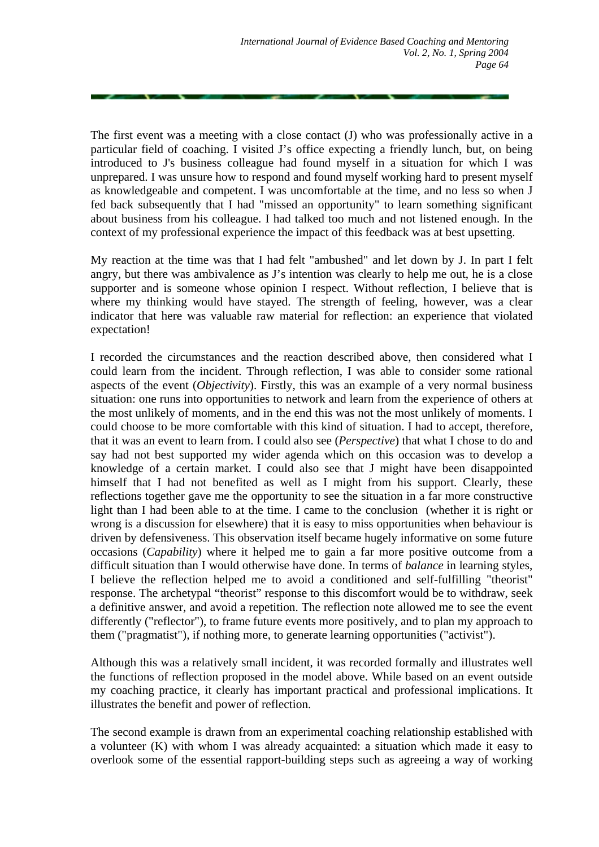The first event was a meeting with a close contact (J) who was professionally active in a particular field of coaching. I visited J's office expecting a friendly lunch, but, on being introduced to J's business colleague had found myself in a situation for which I was unprepared. I was unsure how to respond and found myself working hard to present myself as knowledgeable and competent. I was uncomfortable at the time, and no less so when J fed back subsequently that I had "missed an opportunity" to learn something significant about business from his colleague. I had talked too much and not listened enough. In the context of my professional experience the impact of this feedback was at best upsetting.

My reaction at the time was that I had felt "ambushed" and let down by J. In part I felt angry, but there was ambivalence as J's intention was clearly to help me out, he is a close supporter and is someone whose opinion I respect. Without reflection, I believe that is where my thinking would have stayed. The strength of feeling, however, was a clear indicator that here was valuable raw material for reflection: an experience that violated expectation!

I recorded the circumstances and the reaction described above, then considered what I could learn from the incident. Through reflection, I was able to consider some rational aspects of the event (*Objectivity*). Firstly, this was an example of a very normal business situation: one runs into opportunities to network and learn from the experience of others at the most unlikely of moments, and in the end this was not the most unlikely of moments. I could choose to be more comfortable with this kind of situation. I had to accept, therefore, that it was an event to learn from. I could also see (*Perspective*) that what I chose to do and say had not best supported my wider agenda which on this occasion was to develop a knowledge of a certain market. I could also see that J might have been disappointed himself that I had not benefited as well as I might from his support. Clearly, these reflections together gave me the opportunity to see the situation in a far more constructive light than I had been able to at the time. I came to the conclusion (whether it is right or wrong is a discussion for elsewhere) that it is easy to miss opportunities when behaviour is driven by defensiveness. This observation itself became hugely informative on some future occasions (*Capability*) where it helped me to gain a far more positive outcome from a difficult situation than I would otherwise have done. In terms of *balance* in learning styles, I believe the reflection helped me to avoid a conditioned and self-fulfilling "theorist" response. The archetypal "theorist" response to this discomfort would be to withdraw, seek a definitive answer, and avoid a repetition. The reflection note allowed me to see the event differently ("reflector"), to frame future events more positively, and to plan my approach to them ("pragmatist"), if nothing more, to generate learning opportunities ("activist").

Although this was a relatively small incident, it was recorded formally and illustrates well the functions of reflection proposed in the model above. While based on an event outside my coaching practice, it clearly has important practical and professional implications. It illustrates the benefit and power of reflection.

The second example is drawn from an experimental coaching relationship established with a volunteer (K) with whom I was already acquainted: a situation which made it easy to overlook some of the essential rapport-building steps such as agreeing a way of working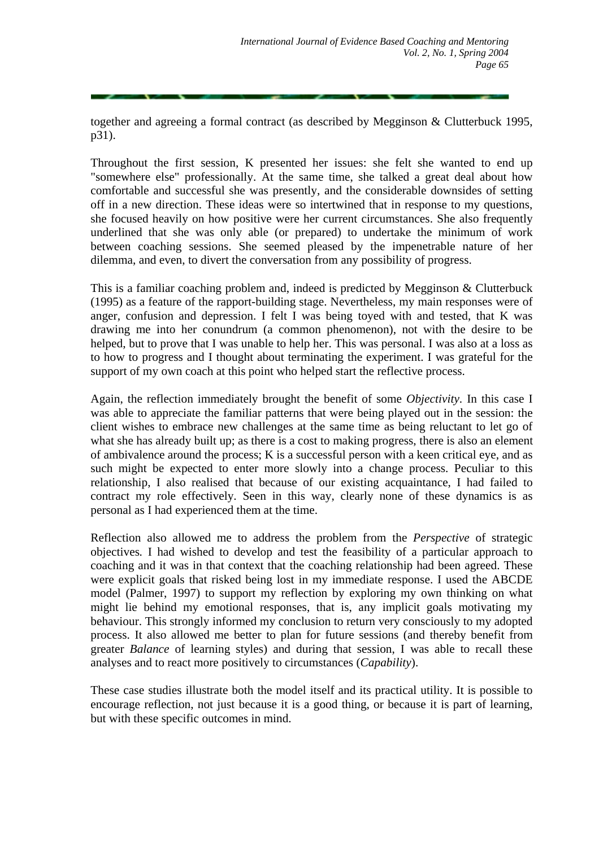together and agreeing a formal contract (as described by Megginson & Clutterbuck 1995, p31).

Throughout the first session, K presented her issues: she felt she wanted to end up "somewhere else" professionally. At the same time, she talked a great deal about how comfortable and successful she was presently, and the considerable downsides of setting off in a new direction. These ideas were so intertwined that in response to my questions, she focused heavily on how positive were her current circumstances. She also frequently underlined that she was only able (or prepared) to undertake the minimum of work between coaching sessions. She seemed pleased by the impenetrable nature of her dilemma, and even, to divert the conversation from any possibility of progress.

This is a familiar coaching problem and, indeed is predicted by Megginson & Clutterbuck (1995) as a feature of the rapport-building stage. Nevertheless, my main responses were of anger, confusion and depression. I felt I was being toyed with and tested, that K was drawing me into her conundrum (a common phenomenon), not with the desire to be helped, but to prove that I was unable to help her. This was personal. I was also at a loss as to how to progress and I thought about terminating the experiment. I was grateful for the support of my own coach at this point who helped start the reflective process.

Again, the reflection immediately brought the benefit of some *Objectivity*. In this case I was able to appreciate the familiar patterns that were being played out in the session: the client wishes to embrace new challenges at the same time as being reluctant to let go of what she has already built up; as there is a cost to making progress, there is also an element of ambivalence around the process; K is a successful person with a keen critical eye, and as such might be expected to enter more slowly into a change process. Peculiar to this relationship, I also realised that because of our existing acquaintance, I had failed to contract my role effectively. Seen in this way, clearly none of these dynamics is as personal as I had experienced them at the time.

Reflection also allowed me to address the problem from the *Perspective* of strategic objectives*.* I had wished to develop and test the feasibility of a particular approach to coaching and it was in that context that the coaching relationship had been agreed. These were explicit goals that risked being lost in my immediate response. I used the ABCDE model (Palmer, 1997) to support my reflection by exploring my own thinking on what might lie behind my emotional responses, that is, any implicit goals motivating my behaviour. This strongly informed my conclusion to return very consciously to my adopted process. It also allowed me better to plan for future sessions (and thereby benefit from greater *Balance* of learning styles) and during that session, I was able to recall these analyses and to react more positively to circumstances (*Capability*).

These case studies illustrate both the model itself and its practical utility. It is possible to encourage reflection, not just because it is a good thing, or because it is part of learning, but with these specific outcomes in mind.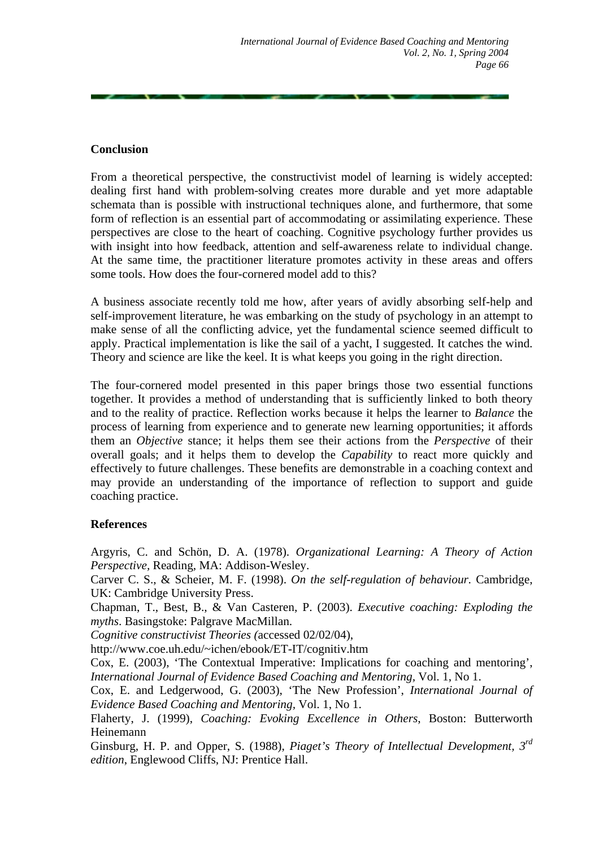# **Conclusion**

From a theoretical perspective, the constructivist model of learning is widely accepted: dealing first hand with problem-solving creates more durable and yet more adaptable schemata than is possible with instructional techniques alone, and furthermore, that some form of reflection is an essential part of accommodating or assimilating experience. These perspectives are close to the heart of coaching. Cognitive psychology further provides us with insight into how feedback, attention and self-awareness relate to individual change. At the same time, the practitioner literature promotes activity in these areas and offers some tools. How does the four-cornered model add to this?

A business associate recently told me how, after years of avidly absorbing self-help and self-improvement literature, he was embarking on the study of psychology in an attempt to make sense of all the conflicting advice, yet the fundamental science seemed difficult to apply. Practical implementation is like the sail of a yacht, I suggested. It catches the wind. Theory and science are like the keel. It is what keeps you going in the right direction.

The four-cornered model presented in this paper brings those two essential functions together. It provides a method of understanding that is sufficiently linked to both theory and to the reality of practice. Reflection works because it helps the learner to *Balance* the process of learning from experience and to generate new learning opportunities; it affords them an *Objective* stance; it helps them see their actions from the *Perspective* of their overall goals; and it helps them to develop the *Capability* to react more quickly and effectively to future challenges. These benefits are demonstrable in a coaching context and may provide an understanding of the importance of reflection to support and guide coaching practice.

# **References**

Argyris, C. and Schön, D. A. (1978). *Organizational Learning: A Theory of Action Perspective,* Reading, MA: Addison-Wesley.

Carver C. S., & Scheier, M. F. (1998). *On the self-regulation of behaviour.* Cambridge, UK: Cambridge University Press.

Chapman, T., Best, B., & Van Casteren, P. (2003). *Executive coaching: Exploding the myths*. Basingstoke: Palgrave MacMillan.

*Cognitive constructivist Theories (*accessed 02/02/04),

http://www.coe.uh.edu/~ichen/ebook/ET-IT/cognitiv.htm

Cox, E. (2003), 'The Contextual Imperative: Implications for coaching and mentoring', *International Journal of Evidence Based Coaching and Mentoring,* Vol. 1, No 1.

Cox, E. and Ledgerwood, G. (2003), 'The New Profession', *International Journal of Evidence Based Coaching and Mentoring,* Vol. 1, No 1.

Flaherty, J. (1999), *Coaching: Evoking Excellence in Others*, Boston: Butterworth Heinemann

Ginsburg, H. P. and Opper, S. (1988), *Piaget's Theory of Intellectual Development, 3rd edition*, Englewood Cliffs, NJ: Prentice Hall.